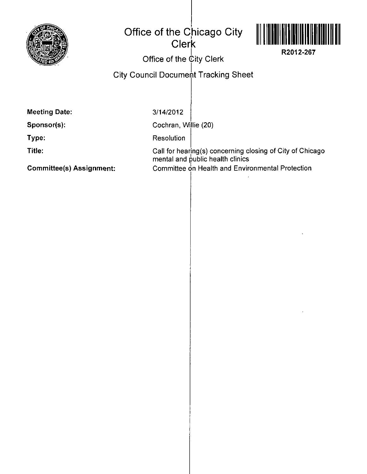

## **Office of the Chicago City Clerk**



**R2012-267** 

**Office of the City Clerk** 

## **City Council Document Tracking Sheet**

**Meeting Date:** 

3/14/2012

**Sponsor(s):** 

**Type:** 

**Title:** 

Cochran, Willie (20)

**Resolution** 

Call for hearing(s) concerning closing of City of Chicago mental and public health clinics Committee on Health and Environmental Protection

**Committee(s) Assignment:**